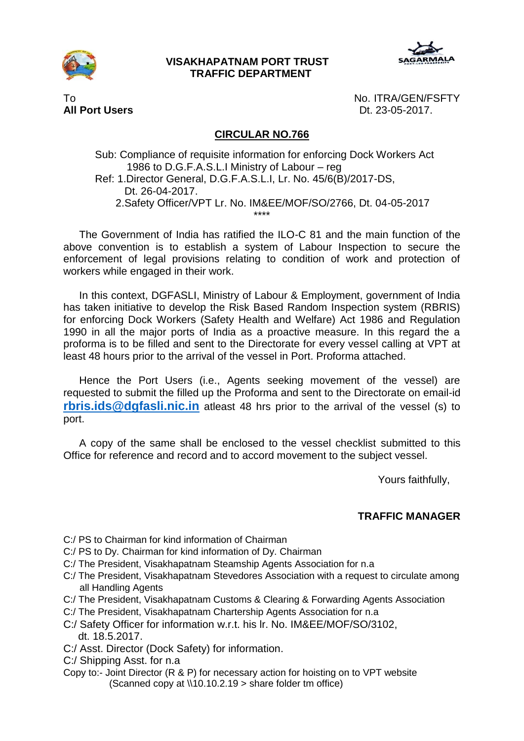

#### **VISAKHAPATNAM PORT TRUST TRAFFIC DEPARTMENT**



To No. ITRA/GEN/FSFTY **All Port Users** Dt. 23-05-2017.

# **CIRCULAR NO.766**

Sub: Compliance of requisite information for enforcing Dock Workers Act 1986 to D.G.F.A.S.L.I Ministry of Labour – reg Ref: 1.Director General, D.G.F.A.S.L.I, Lr. No. 45/6(B)/2017-DS, Dt. 26-04-2017. 2.Safety Officer/VPT Lr. No. IM&EE/MOF/SO/2766, Dt. 04-05-2017 \*\*\*\*

The Government of India has ratified the ILO-C 81 and the main function of the above convention is to establish a system of Labour Inspection to secure the enforcement of legal provisions relating to condition of work and protection of workers while engaged in their work.

In this context, DGFASLI, Ministry of Labour & Employment, government of India has taken initiative to develop the Risk Based Random Inspection system (RBRIS) for enforcing Dock Workers (Safety Health and Welfare) Act 1986 and Regulation 1990 in all the major ports of India as a proactive measure. In this regard the a proforma is to be filled and sent to the Directorate for every vessel calling at VPT at least 48 hours prior to the arrival of the vessel in Port. Proforma attached.

Hence the Port Users (i.e., Agents seeking movement of the vessel) are requested to submit the filled up the Proforma and sent to the Directorate on email-id **[rbris.ids@dgfasli.nic.in](mailto:rbris.ids@dgfasli.nic.in)** atleast 48 hrs prior to the arrival of the vessel (s) to port.

A copy of the same shall be enclosed to the vessel checklist submitted to this Office for reference and record and to accord movement to the subject vessel.

Yours faithfully,

# **TRAFFIC MANAGER**

- C:/ PS to Chairman for kind information of Chairman
- C:/ PS to Dy. Chairman for kind information of Dy. Chairman
- C:/ The President, Visakhapatnam Steamship Agents Association for n.a
- C:/ The President, Visakhapatnam Stevedores Association with a request to circulate among all Handling Agents
- C:/ The President, Visakhapatnam Customs & Clearing & Forwarding Agents Association
- C:/ The President, Visakhapatnam Chartership Agents Association for n.a
- C:/ Safety Officer for information w.r.t. his lr. No. IM&EE/MOF/SO/3102, dt. 18.5.2017.
- C:/ Asst. Director (Dock Safety) for information.
- C:/ Shipping Asst. for n.a
- Copy to:- Joint Director (R & P) for necessary action for hoisting on to VPT website (Scanned copy at \\10.10.2.19 > share folder tm office)